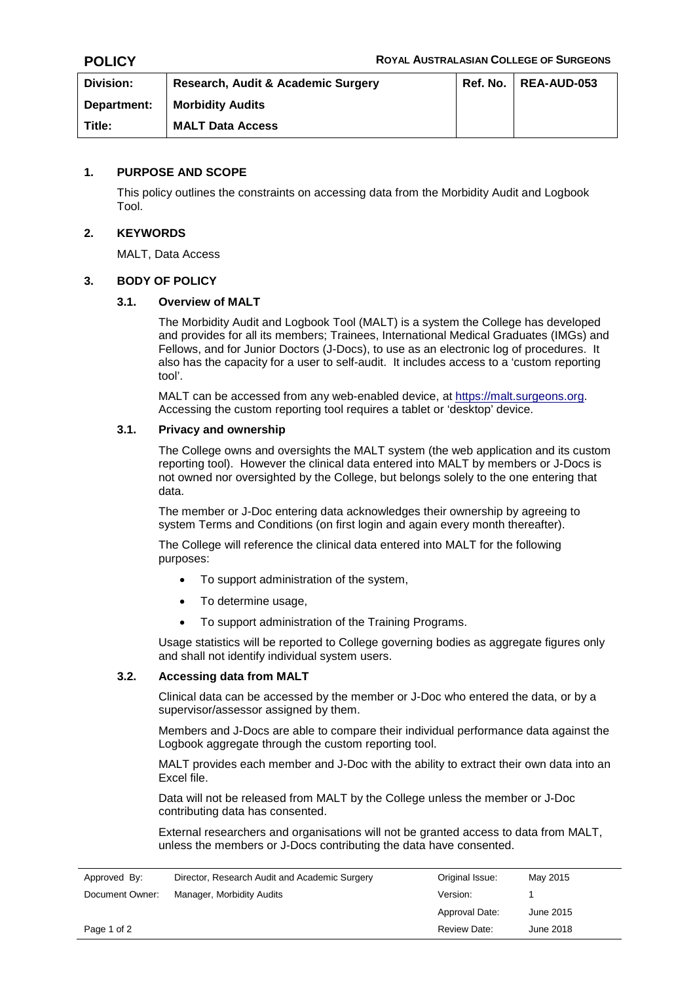| Division:   | Research, Audit & Academic Surgery | Ref. No. | <b>REA-AUD-053</b> |
|-------------|------------------------------------|----------|--------------------|
| Department: | <b>Morbidity Audits</b>            |          |                    |
| Title:      | <b>MALT Data Access</b>            |          |                    |

## **1. PURPOSE AND SCOPE**

This policy outlines the constraints on accessing data from the Morbidity Audit and Logbook Tool.

### **2. KEYWORDS**

MALT, Data Access

#### **3. BODY OF POLICY**

### **3.1. Overview of MALT**

The Morbidity Audit and Logbook Tool (MALT) is a system the College has developed and provides for all its members; Trainees, International Medical Graduates (IMGs) and Fellows, and for Junior Doctors (J-Docs), to use as an electronic log of procedures. It also has the capacity for a user to self-audit. It includes access to a 'custom reporting tool'.

MALT can be accessed from any web-enabled device, at [https://malt.surgeons.org.](https://malt.surgeons.org/) Accessing the custom reporting tool requires a tablet or 'desktop' device.

#### **3.1. Privacy and ownership**

The College owns and oversights the MALT system (the web application and its custom reporting tool). However the clinical data entered into MALT by members or J-Docs is not owned nor oversighted by the College, but belongs solely to the one entering that data.

The member or J-Doc entering data acknowledges their ownership by agreeing to system Terms and Conditions (on first login and again every month thereafter).

The College will reference the clinical data entered into MALT for the following purposes:

- To support administration of the system,
- To determine usage,
- To support administration of the Training Programs.

Usage statistics will be reported to College governing bodies as aggregate figures only and shall not identify individual system users.

#### **3.2. Accessing data from MALT**

Clinical data can be accessed by the member or J-Doc who entered the data, or by a supervisor/assessor assigned by them.

Members and J-Docs are able to compare their individual performance data against the Logbook aggregate through the custom reporting tool.

MALT provides each member and J-Doc with the ability to extract their own data into an Excel file.

Data will not be released from MALT by the College unless the member or J-Doc contributing data has consented.

External researchers and organisations will not be granted access to data from MALT, unless the members or J-Docs contributing the data have consented.

| Approved By:    | Director, Research Audit and Academic Surgery | Original Issue:     | May 2015  |
|-----------------|-----------------------------------------------|---------------------|-----------|
| Document Owner: | Manager, Morbidity Audits                     | Version:            |           |
|                 |                                               | Approval Date:      | June 2015 |
| Page 1 of 2     |                                               | <b>Review Date:</b> | June 2018 |